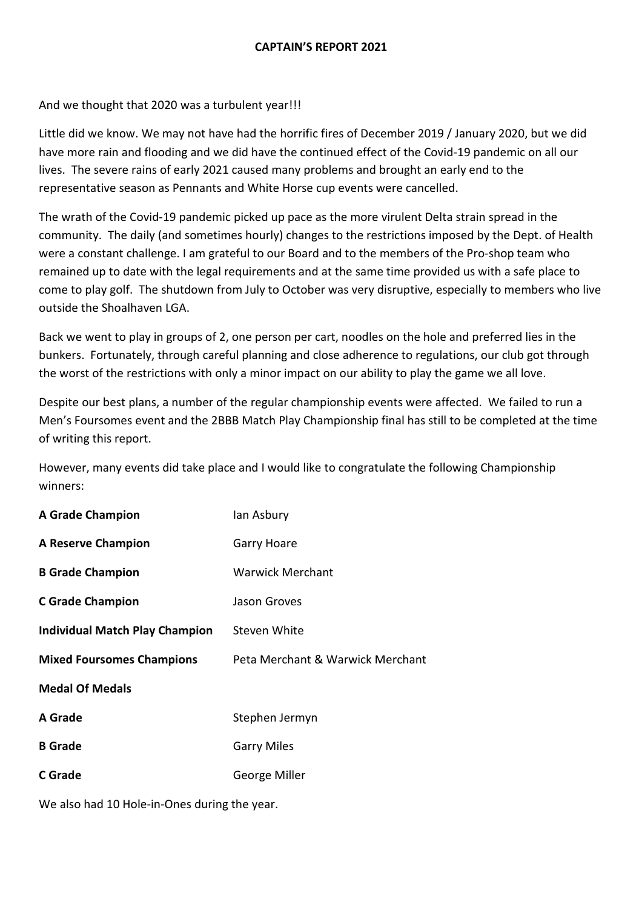## **CAPTAIN'S REPORT 2021**

And we thought that 2020 was a turbulent year!!!

Little did we know. We may not have had the horrific fires of December 2019 / January 2020, but we did have more rain and flooding and we did have the continued effect of the Covid-19 pandemic on all our lives. The severe rains of early 2021 caused many problems and brought an early end to the representative season as Pennants and White Horse cup events were cancelled.

The wrath of the Covid-19 pandemic picked up pace as the more virulent Delta strain spread in the community. The daily (and sometimes hourly) changes to the restrictions imposed by the Dept. of Health were a constant challenge. I am grateful to our Board and to the members of the Pro-shop team who remained up to date with the legal requirements and at the same time provided us with a safe place to come to play golf. The shutdown from July to October was very disruptive, especially to members who live outside the Shoalhaven LGA.

Back we went to play in groups of 2, one person per cart, noodles on the hole and preferred lies in the bunkers. Fortunately, through careful planning and close adherence to regulations, our club got through the worst of the restrictions with only a minor impact on our ability to play the game we all love.

Despite our best plans, a number of the regular championship events were affected. We failed to run a Men's Foursomes event and the 2BBB Match Play Championship final has still to be completed at the time of writing this report.

However, many events did take place and I would like to congratulate the following Championship winners:

| <b>A Grade Champion</b>          | lan Asbury                       |
|----------------------------------|----------------------------------|
| <b>A Reserve Champion</b>        | Garry Hoare                      |
| <b>B</b> Grade Champion          | <b>Warwick Merchant</b>          |
| <b>C</b> Grade Champion          | Jason Groves                     |
| Individual Match Play Champion   | Steven White                     |
|                                  |                                  |
| <b>Mixed Foursomes Champions</b> | Peta Merchant & Warwick Merchant |
| <b>Medal Of Medals</b>           |                                  |
| A Grade                          | Stephen Jermyn                   |
| <b>B</b> Grade                   | <b>Garry Miles</b>               |
| C Grade                          | George Miller                    |

We also had 10 Hole-in-Ones during the year.